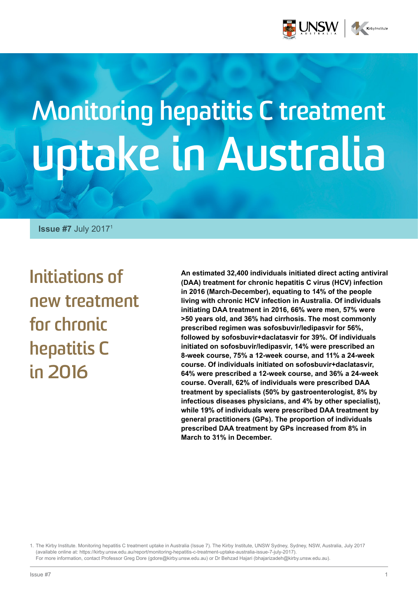

# **Monitoring hepatitis C treatment uptake in Australia**

**Issue #7** July 20171

**Initiations of new treatment for chronic hepatitis C in 2016**

**An estimated 32,400 individuals initiated direct acting antiviral (DAA) treatment for chronic hepatitis C virus (HCV) infection in 2016 (March-December), equating to 14% of the people living with chronic HCV infection in Australia. Of individuals initiating DAA treatment in 2016, 66% were men, 57% were >50 years old, and 36% had cirrhosis. The most commonly prescribed regimen was sofosbuvir/ledipasvir for 56%, followed by sofosbuvir+daclatasvir for 39%. Of individuals initiated on sofosbuvir/ledipasvir, 14% were prescribed an 8-week course, 75% a 12-week course, and 11% a 24-week course. Of individuals initiated on sofosbuvir+daclatasvir, 64% were prescribed a 12-week course, and 36% a 24-week course. Overall, 62% of individuals were prescribed DAA treatment by specialists (50% by gastroenterologist, 8% by infectious diseases physicians, and 4% by other specialist), while 19% of individuals were prescribed DAA treatment by general practitioners (GPs). The proportion of individuals prescribed DAA treatment by GPs increased from 8% in March to 31% in December.** 

1. The Kirby Institute. Monitoring hepatitis C treatment uptake in Australia (Issue 7). The Kirby Institute, UNSW Sydney, Sydney, NSW, Australia, July 2017 (available online at: https://kirby.unsw.edu.au/report/monitoring-hepatitis-c-treatment-uptake-australia-issue-7-july-2017). For more information, contact Professor Greg Dore (gdore@kirby.unsw.edu.au) or Dr Behzad Hajari (bhajarizadeh@kirby.unsw.edu.au).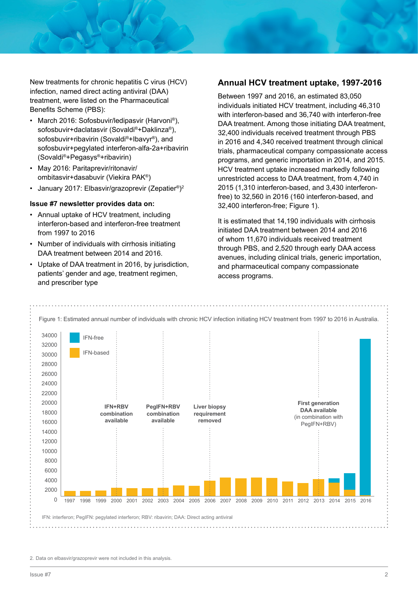New treatments for chronic hepatitis C virus (HCV) infection, named direct acting antiviral (DAA) treatment, were listed on the Pharmaceutical Benefits Scheme (PBS):

- March 2016: Sofosbuvir/ledipasvir (Harvoni®), sofosbuvir+daclatasvir (Sovaldi®+Daklinza®), sofosbuvir+ribavirin (Sovaldi®+Ibavyr®), and sofosbuvir+pegylated interferon-alfa-2a+ribavirin (Sovaldi®+Pegasys®+ribavirin)
- May 2016: Paritaprevir/ritonavir/ ombitasvir+dasabuvir (Viekira PAK®)
- January 2017: Elbasvir/grazoprevir (Zepatier®)2

#### **Issue #7 newsletter provides data on:**

- Annual uptake of HCV treatment, including interferon-based and interferon-free treatment from 1997 to 2016
- Number of individuals with cirrhosis initiating DAA treatment between 2014 and 2016.
- Uptake of DAA treatment in 2016, by jurisdiction, patients' gender and age, treatment regimen, and prescriber type

#### **Annual HCV treatment uptake, 1997-2016**

Between 1997 and 2016, an estimated 83,050 individuals initiated HCV treatment, including 46,310 with interferon-based and 36,740 with interferon-free DAA treatment. Among those initiating DAA treatment, 32,400 individuals received treatment through PBS in 2016 and 4,340 received treatment through clinical trials, pharmaceutical company compassionate access programs, and generic importation in 2014, and 2015. HCV treatment uptake increased markedly following unrestricted access to DAA treatment, from 4,740 in 2015 (1,310 interferon-based, and 3,430 interferonfree) to 32,560 in 2016 (160 interferon-based, and 32,400 interferon-free; Figure 1).

It is estimated that 14,190 individuals with cirrhosis initiated DAA treatment between 2014 and 2016 of whom 11,670 individuals received treatment through PBS, and 2,520 through early DAA access avenues, including clinical trials, generic importation, and pharmaceutical company compassionate access programs.



<sup>2.</sup> Data on elbasvir/grazoprevir were not included in this analysis.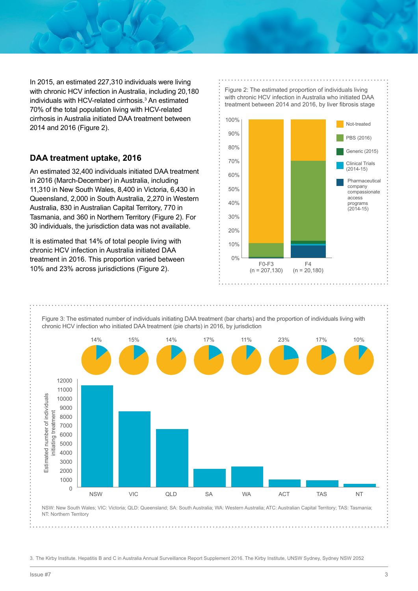In 2015, an estimated 227,310 individuals were living with chronic HCV infection in Australia, including 20,180 individuals with HCV-related cirrhosis.<sup>3</sup> An estimated 70% of the total population living with HCV-related cirrhosis in Australia initiated DAA treatment between 2014 and 2016 (Figure 2).

#### **DAA treatment uptake, 2016**

An estimated 32,400 individuals initiated DAA treatment in 2016 (March-December) in Australia, including 11,310 in New South Wales, 8,400 in Victoria, 6,430 in Queensland, 2,000 in South Australia, 2,270 in Western Australia, 830 in Australian Capital Territory, 770 in Tasmania, and 360 in Northern Territory (Figure 2). For 30 individuals, the jurisdiction data was not available.

It is estimated that 14% of total people living with chronic HCV infection in Australia initiated DAA treatment in 2016. This proportion varied between 10% and 23% across jurisdictions (Figure 2).





3. The Kirby Institute. Hepatitis B and C in Australia Annual Surveillance Report Supplement 2016. The Kirby Institute, UNSW Sydney, Sydney NSW 2052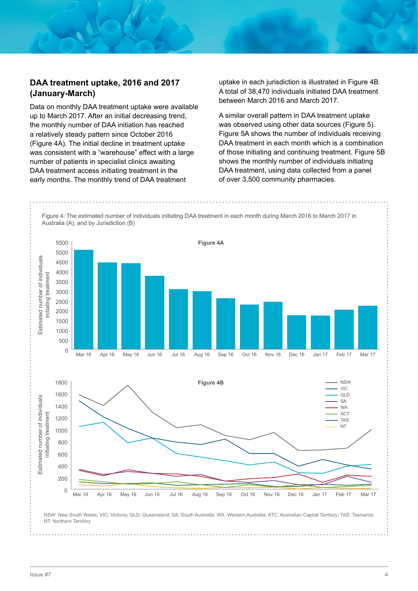#### **DAA treatment uptake, 2016 and 2017 (January-March)**

Data on monthly DAA treatment uptake were available up to March 2017. After an initial decreasing trend, the monthly number of DAA initiation has reached a relatively steady pattern since October 2016 (Figure 4A). The initial decline in treatment uptake was consistent with a "warehouse" effect with a large number of patients in specialist clinics awaiting DAA treatment access initiating treatment in the early months. The monthly trend of DAA treatment

uptake in each jurisdiction is illustrated in Figure 4B. A total of 38,470 individuals initiated DAA treatment between March 2016 and March 2017.

A similar overall pattern in DAA treatment uptake was observed using other data sources (Figure 5). Figure 5A shows the number of individuals receiving DAA treatment in each month which is a combination of those initiating and continuing treatment. Figure 5B shows the monthly number of individuals initiating DAA treatment, using data collected from a panel of over 3,500 community pharmacies.

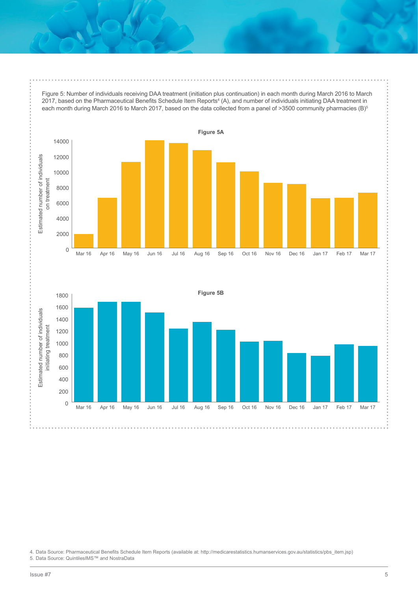Figure 5: Number of individuals receiving DAA treatment (initiation plus continuation) in each month during March 2016 to March 2017, based on the Pharmaceutical Benefits Schedule Item Reports<sup>4</sup> (A), and number of individuals initiating DAA treatment in each month during March 2016 to March 2017, based on the data collected from a panel of >3500 community pharmacies (B)<sup>5</sup>





4. Data Source: Pharmaceutical Benefits Schedule Item Reports (available at: http://medicarestatistics.humanservices.gov.au/statistics/pbs\_item.jsp)

5. Data Source: QuintilesIMS™ and NostraData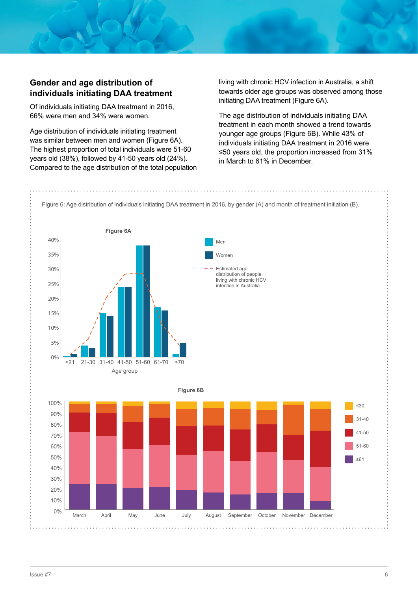#### **Gender and age distribution of individuals initiating DAA treatment**

Of individuals initiating DAA treatment in 2016, 66% were men and 34% were women.

Age distribution of individuals initiating treatment was similar between men and women (Figure 6A). The highest proportion of total individuals were 51-60 years old (38%), followed by 41-50 years old (24%). Compared to the age distribution of the total population living with chronic HCV infection in Australia, a shift towards older age groups was observed among those initiating DAA treatment (Figure 6A).

The age distribution of individuals initiating DAA treatment in each month showed a trend towards younger age groups (Figure 6B). While 43% of individuals initiating DAA treatment in 2016 were ≤50 years old, the proportion increased from 31% in March to 61% in December.

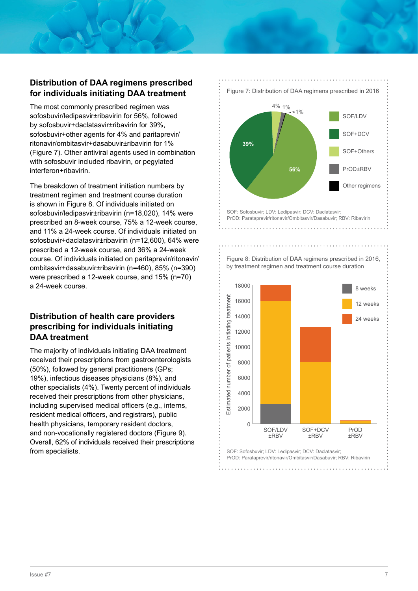## **Distribution of DAA regimens prescribed for individuals initiating DAA treatment**

The most commonly prescribed regimen was sofosbuvir/ledipasvir±ribavirin for 56%, followed by sofosbuvir+daclatasvir±ribavirin for 39%, sofosbuvir+other agents for 4% and paritaprevir/ ritonavir/ombitasvir+dasabuvir±ribavirin for 1% (Figure 7). Other antiviral agents used in combination with sofosbuvir included ribavirin, or pegylated interferon+ribavirin.

The breakdown of treatment initiation numbers by treatment regimen and treatment course duration is shown in Figure 8. Of individuals initiated on sofosbuvir/ledipasvir±ribavirin (n=18,020), 14% were prescribed an 8-week course, 75% a 12-week course, and 11% a 24-week course. Of individuals initiated on sofosbuvir+daclatasvir±ribavirin (n=12,600), 64% were prescribed a 12-week course, and 36% a 24-week course. Of individuals initiated on paritaprevir/ritonavir/ ombitasvir+dasabuvir±ribavirin (n=460), 85% (n=390) were prescribed a 12-week course, and 15% (n=70) a 24-week course.

## **Distribution of health care providers prescribing for individuals initiating DAA treatment**

The majority of individuals initiating DAA treatment received their prescriptions from gastroenterologists (50%), followed by general practitioners (GPs; 19%), infectious diseases physicians (8%), and other specialists (4%). Twenty percent of individuals received their prescriptions from other physicians, including supervised medical officers (e.g., interns, resident medical officers, and registrars), public health physicians, temporary resident doctors, and non-vocationally registered doctors (Figure 9). Overall, 62% of individuals received their prescriptions from specialists.

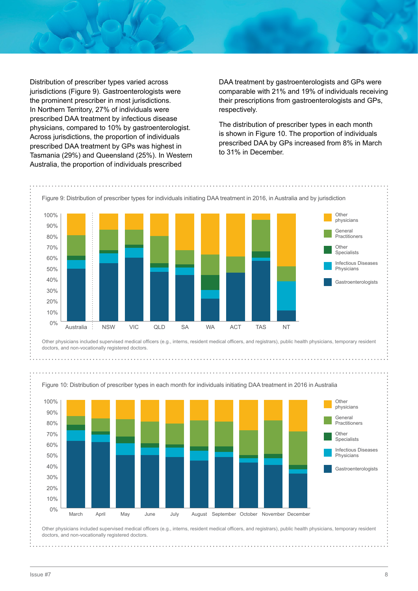Distribution of prescriber types varied across jurisdictions (Figure 9). Gastroenterologists were the prominent prescriber in most jurisdictions. In Northern Territory, 27% of individuals were prescribed DAA treatment by infectious disease physicians, compared to 10% by gastroenterologist. Across jurisdictions, the proportion of individuals prescribed DAA treatment by GPs was highest in Tasmania (29%) and Queensland (25%). In Western Australia, the proportion of individuals prescribed

DAA treatment by gastroenterologists and GPs were comparable with 21% and 19% of individuals receiving their prescriptions from gastroenterologists and GPs, respectively.

The distribution of prescriber types in each month is shown in Figure 10. The proportion of individuals prescribed DAA by GPs increased from 8% in March to 31% in December.



Other physicians included supervised medical officers (e.g., interns, resident medical officers, and registrars), public health physicians, temporary resident doctors, and non-vocationally registered doctors.

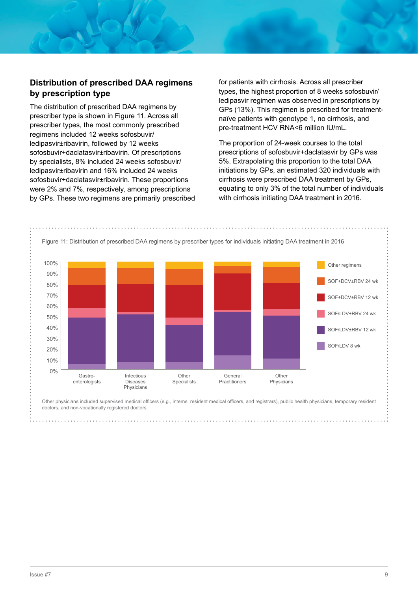### **Distribution of prescribed DAA regimens by prescription type**

The distribution of prescribed DAA regimens by prescriber type is shown in Figure 11. Across all prescriber types, the most commonly prescribed regimens included 12 weeks sofosbuvir/ ledipasvir±ribavirin, followed by 12 weeks sofosbuvir+daclatasvir±ribavirin. Of prescriptions by specialists, 8% included 24 weeks sofosbuvir/ ledipasvir±ribavirin and 16% included 24 weeks sofosbuvir+daclatasvir±ribavirin. These proportions were 2% and 7%, respectively, among prescriptions by GPs. These two regimens are primarily prescribed for patients with cirrhosis. Across all prescriber types, the highest proportion of 8 weeks sofosbuvir/ ledipasvir regimen was observed in prescriptions by GPs (13%). This regimen is prescribed for treatmentnaïve patients with genotype 1, no cirrhosis, and pre-treatment HCV RNA<6 million IU/mL.

The proportion of 24-week courses to the total prescriptions of sofosbuvir+daclatasvir by GPs was 5%. Extrapolating this proportion to the total DAA initiations by GPs, an estimated 320 individuals with cirrhosis were prescribed DAA treatment by GPs, equating to only 3% of the total number of individuals with cirrhosis initiating DAA treatment in 2016.



Other physicians included supervised medical officers (e.g., interns, resident medical officers, and registrars), public health physicians, temporary resident doctors, and non-vocationally registered doctors.